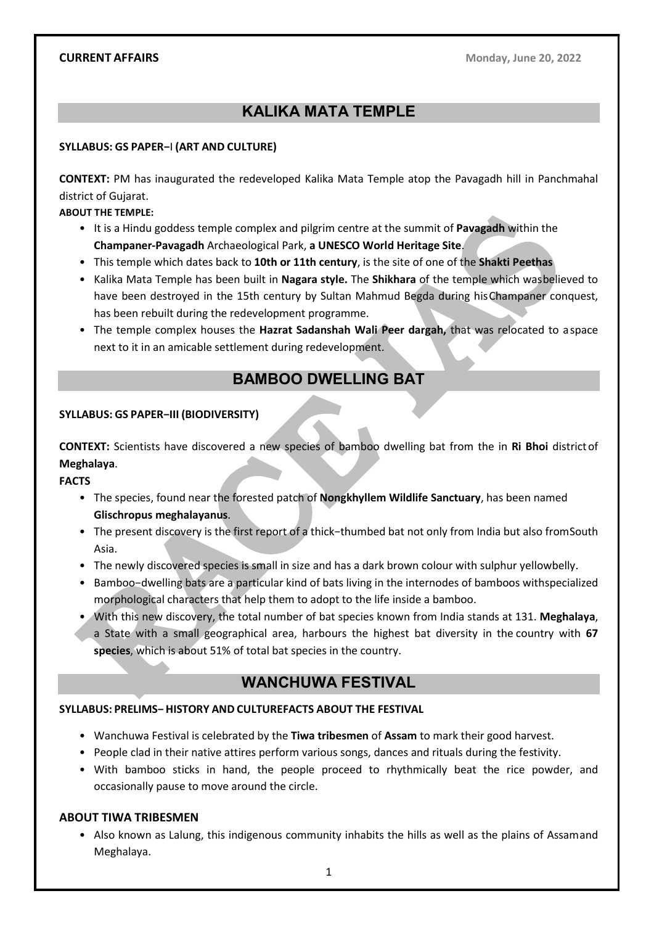# KALIKA MATA TEMPLE

#### SYLLABUS: GS PAPER−I (ART AND CULTURE)

CONTEXT: PM has inaugurated the redeveloped Kalika Mata Temple atop the Pavagadh hill in Panchmahal district of Gujarat.

ABOUT THE TEMPLE:

- It is a Hindu goddess temple complex and pilgrim centre at the summit of Pavagadh within the Champaner-Pavagadh Archaeological Park, a UNESCO World Heritage Site.
- This temple which dates back to 10th or 11th century, is the site of one of the Shakti Peethas
- Kalika Mata Temple has been built in Nagara style. The Shikhara of the temple which was believed to have been destroyed in the 15th century by Sultan Mahmud Begda during his Champaner conquest, has been rebuilt during the redevelopment programme.
- The temple complex houses the Hazrat Sadanshah Wali Peer dargah, that was relocated to a space next to it in an amicable settlement during redevelopment.

# BAMBOO DWELLING BAT

#### SYLLABUS: GS PAPER−III (BIODIVERSITY)

CONTEXT: Scientists have discovered a new species of bamboo dwelling bat from the in Ri Bhoi district of Meghalaya.

FACTS

- The species, found near the forested patch of Nongkhyllem Wildlife Sanctuary, has been named Glischropus meghalayanus.
- The present discovery is the first report of a thick−thumbed bat not only from India but also from South Asia.
- The newly discovered species is small in size and has a dark brown colour with sulphur yellow belly.
- Bamboo−dwelling bats are a particular kind of bats living in the internodes of bamboos with specialized morphological characters that help them to adopt to the life inside a bamboo.
- With this new discovery, the total number of bat species known from India stands at 131. Meghalaya, a State with a small geographical area, harbours the highest bat diversity in the country with 67 species, which is about 51% of total bat species in the country.

# WANCHUWA FESTIVAL

#### SYLLABUS: PRELIMS- HISTORY AND CULTUREFACTS ABOUT THE FESTIVAL

- Wanchuwa Festival is celebrated by the Tiwa tribesmen of Assam to mark their good harvest.
- People clad in their native attires perform various songs, dances and rituals during the festivity.
- With bamboo sticks in hand, the people proceed to rhythmically beat the rice powder, and occasionally pause to move around the circle.

#### ABOUT TIWA TRIBESMEN

• Also known as Lalung, this indigenous community inhabits the hills as well as the plains of Assam and Meghalaya.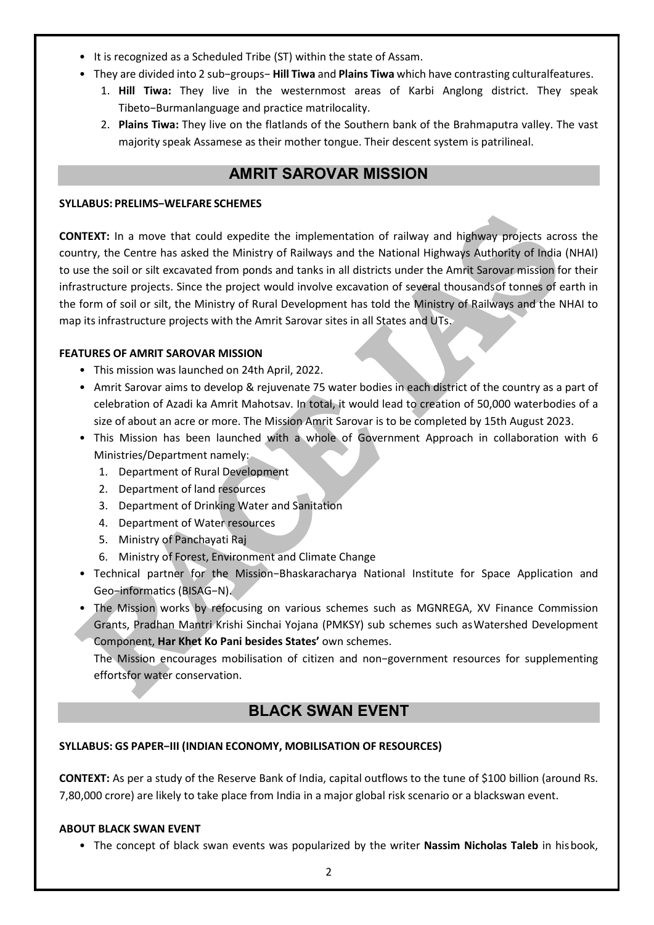- It is recognized as a Scheduled Tribe (ST) within the state of Assam.
- They are divided into 2 sub−groups− Hill Tiwa and Plains Tiwa which have contrasting cultural features.
	- 1. Hill Tiwa: They live in the westernmost areas of Karbi Anglong district. They speak Tibeto-Burmanlanguage and practice matrilocality.
	- 2. Plains Tiwa: They live on the flatlands of the Southern bank of the Brahmaputra valley. The vast majority speak Assamese as their mother tongue. Their descent system is patrilineal.

# AMRIT SAROVAR MISSION

#### SYLLABUS: PRELIMS−WELFARE SCHEMES

CONTEXT: In a move that could expedite the implementation of railway and highway projects across the country, the Centre has asked the Ministry of Railways and the National Highways Authority of India (NHAI) to use the soil or silt excavated from ponds and tanks in all districts under the Amrit Sarovar mission for their infrastructure projects. Since the project would involve excavation of several thousands of tonnes of earth in the form of soil or silt, the Ministry of Rural Development has told the Ministry of Railways and the NHAI to map its infrastructure projects with the Amrit Sarovar sites in all States and UTs.

#### FEATURES OF AMRIT SAROVAR MISSION

- This mission was launched on 24th April, 2022.
- Amrit Sarovar aims to develop & rejuvenate 75 water bodies in each district of the country as a part of celebration of Azadi ka Amrit Mahotsav. In total, it would lead to creation of 50,000 waterbodies of a size of about an acre or more. The Mission Amrit Sarovar is to be completed by 15th August 2023.
- This Mission has been launched with a whole of Government Approach in collaboration with 6 Ministries/Department namely:
	- 1. Department of Rural Development
	- 2. Department of land resources
	- 3. Department of Drinking Water and Sanitation
	- 4. Department of Water resources
	- 5. Ministry of Panchayati Raj
	- 6. Ministry of Forest, Environment and Climate Change
- Technical partner for the Mission−Bhaskaracharya National Institute for Space Application and Geo−informaƟcs (BISAG−N).
- The Mission works by refocusing on various schemes such as MGNREGA, XV Finance Commission Grants, Pradhan Mantri Krishi Sinchai Yojana (PMKSY) sub schemes such as Watershed Development Component, Har Khet Ko Pani besides States' own schemes.

The Mission encourages mobilisation of citizen and non−government resources for supplementing efforts for water conservation.

# BLACK SWAN EVENT

## SYLLABUS: GS PAPER−III (INDIAN ECONOMY, MOBILISATION OF RESOURCES)

CONTEXT: As per a study of the Reserve Bank of India, capital outflows to the tune of \$100 billion (around Rs. 7,80,000 crore) are likely to take place from India in a major global risk scenario or a blackswan event.

## ABOUT BLACK SWAN EVENT

• The concept of black swan events was popularized by the writer Nassim Nicholas Taleb in his book,